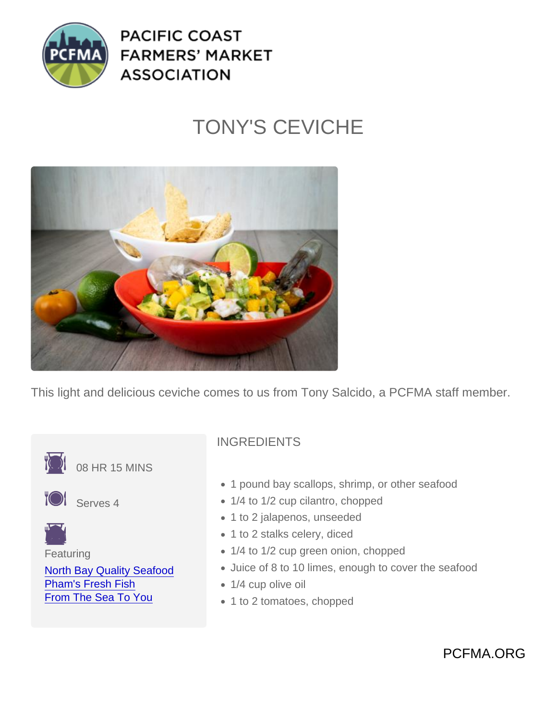## TONY'S CEVICHE

This light and delicious ceviche comes to us from Tony Salcido, a PCFMA staff member.



PCFMA.ORG